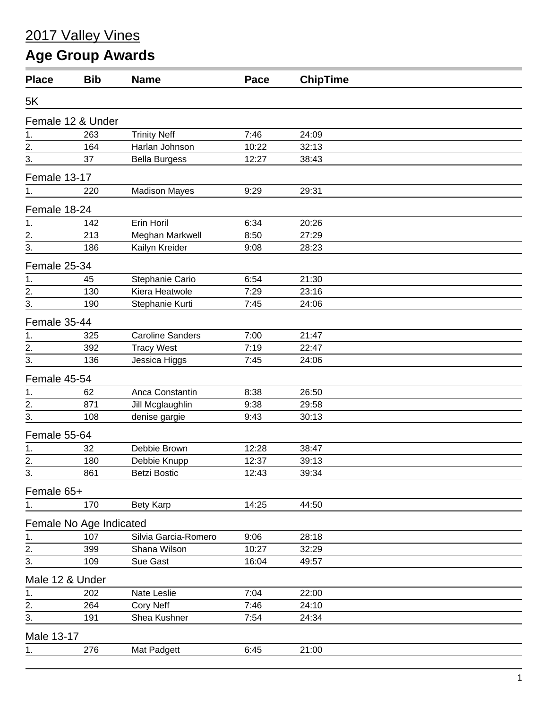## 2017 Valley Vines

## **Age Group Awards**

| <b>Place</b>      | <b>Bib</b>              | <b>Name</b>             | Pace  | <b>ChipTime</b> |  |
|-------------------|-------------------------|-------------------------|-------|-----------------|--|
| 5K                |                         |                         |       |                 |  |
|                   | Female 12 & Under       |                         |       |                 |  |
| 1.                | 263                     | <b>Trinity Neff</b>     | 7:46  | 24:09           |  |
| $\overline{2}$ .  | 164                     | Harlan Johnson          | 10:22 | 32:13           |  |
| $\overline{3}$ .  | 37                      | <b>Bella Burgess</b>    | 12:27 | 38:43           |  |
| Female 13-17      |                         |                         |       |                 |  |
| 1.                | 220                     | <b>Madison Mayes</b>    | 9:29  | 29:31           |  |
| Female 18-24      |                         |                         |       |                 |  |
| 1.                | 142                     | Erin Horil              | 6:34  | 20:26           |  |
|                   | 213                     | Meghan Markwell         | 8:50  | 27:29           |  |
| $\frac{2}{3}$ .   | 186                     | Kailyn Kreider          | 9:08  | 28:23           |  |
| Female 25-34      |                         |                         |       |                 |  |
| 1.                | 45                      | Stephanie Cario         | 6:54  | 21:30           |  |
| $\stackrel{2}{-}$ | 130                     | Kiera Heatwole          | 7:29  | 23:16           |  |
| 3.                | 190                     | Stephanie Kurti         | 7:45  | 24:06           |  |
| Female 35-44      |                         |                         |       |                 |  |
| 1.                | 325                     | <b>Caroline Sanders</b> | 7:00  | 21:47           |  |
| 2.                | 392                     | <b>Tracy West</b>       | 7:19  | 22:47           |  |
| 3.                | 136                     | Jessica Higgs           | 7:45  | 24:06           |  |
| Female 45-54      |                         |                         |       |                 |  |
| 1.                | 62                      | Anca Constantin         | 8:38  | 26:50           |  |
| 2.                | 871                     | Jill Mcglaughlin        | 9:38  | 29:58           |  |
| 3.                | 108                     | denise gargie           | 9:43  | 30:13           |  |
| Female 55-64      |                         |                         |       |                 |  |
| 1.                | 32                      | Debbie Brown            | 12:28 | 38:47           |  |
| 2.                | 180                     | Debbie Knupp            | 12:37 | 39:13           |  |
| $\frac{3}{2}$     | 861                     | <b>Betzi Bostic</b>     | 12:43 | 39:34           |  |
| Female 65+        |                         |                         |       |                 |  |
| 1.                | 170                     | Bety Karp               | 14:25 | 44:50           |  |
|                   | Female No Age Indicated |                         |       |                 |  |
| 1.                | 107                     | Silvia Garcia-Romero    | 9:06  | 28:18           |  |
| $\overline{2}$ .  | 399                     | Shana Wilson            | 10:27 | 32:29           |  |
| 3.                | 109                     | Sue Gast                | 16:04 | 49:57           |  |
| Male 12 & Under   |                         |                         |       |                 |  |
| 1.                | 202                     | Nate Leslie             | 7:04  | 22:00           |  |
| $\overline{2}$ .  | 264                     | <b>Cory Neff</b>        | 7:46  | 24:10           |  |
| 3.                | 191                     | Shea Kushner            | 7:54  | 24:34           |  |
| Male 13-17        |                         |                         |       |                 |  |
| 1.                | 276                     | Mat Padgett             | 6:45  | 21:00           |  |
|                   |                         |                         |       |                 |  |